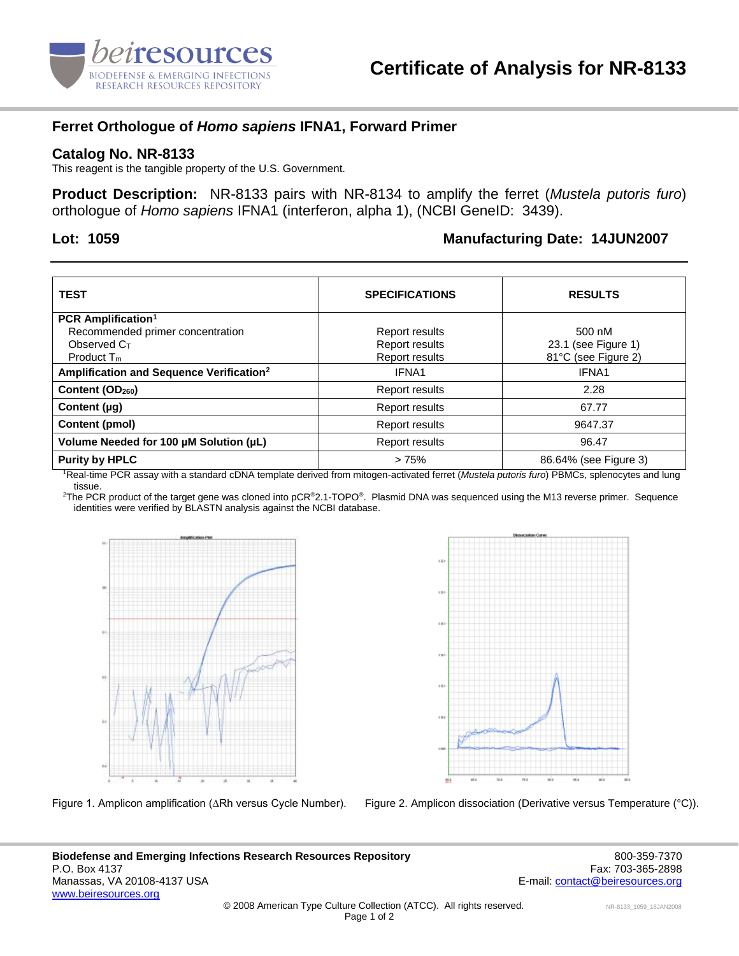

## **Ferret Orthologue of** *Homo sapiens* **IFNA1, Forward Primer**

#### **Catalog No. NR-8133**

This reagent is the tangible property of the U.S. Government.

**Product Description:** NR-8133 pairs with NR-8134 to amplify the ferret (*Mustela putoris furo*) orthologue of *Homo sapiens* IFNA1 (interferon, alpha 1), (NCBI GeneID: 3439).

### **Lot: 1059 Manufacturing Date: 14JUN2007**

| <b>TEST</b>                                          | <b>SPECIFICATIONS</b> | <b>RESULTS</b>        |
|------------------------------------------------------|-----------------------|-----------------------|
| <b>PCR Amplification<sup>1</sup></b>                 |                       |                       |
| Recommended primer concentration                     | Report results        | 500 nM                |
| Observed C <sub>T</sub>                              | Report results        | 23.1 (see Figure 1)   |
| Product $T_m$                                        | Report results        | 81°C (see Figure 2)   |
| Amplification and Sequence Verification <sup>2</sup> | IFNA1                 | IFNA1                 |
| Content (OD <sub>260</sub> )                         | Report results        | 2.28                  |
| Content $(\mu q)$                                    | Report results        | 67.77                 |
| Content (pmol)                                       | Report results        | 9647.37               |
| Volume Needed for 100 µM Solution (µL)               | Report results        | 96.47                 |
| <b>Purity by HPLC</b>                                | >75%                  | 86.64% (see Figure 3) |

<sup>1</sup>Real-time PCR assay with a standard cDNA template derived from mitogen-activated ferret (*Mustela putoris furo*) PBMCs, splenocytes and lung tissue.

<sup>2</sup>The PCR product of the target gene was cloned into pCR<sup>®</sup>2.1-TOPO®. Plasmid DNA was sequenced using the M13 reverse primer. Sequence identities were verified by BLASTN analysis against the NCBI database.





Figure 1. Amplicon amplification (∆Rh versus Cycle Number). Figure 2. Amplicon dissociation (Derivative versus Temperature (°C)).